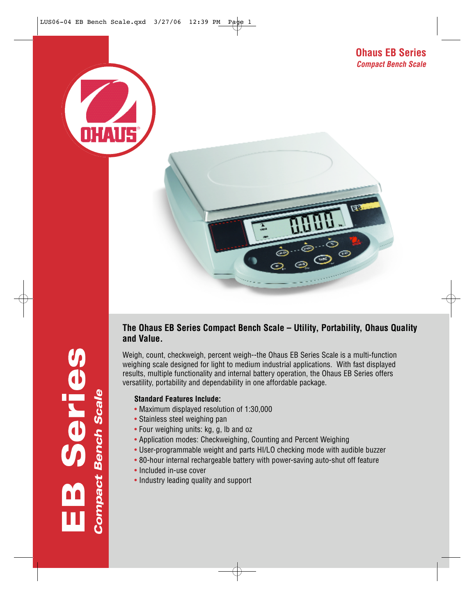



## **The Ohaus EB Series Compact Bench Scale – Utility, Portability, Ohaus Quality and Value.**

Weigh, count, checkweigh, percent weigh--the Ohaus EB Series Scale is a multi-function weighing scale designed for light to medium industrial applications. With fast displayed results, multiple functionality and internal battery operation, the Ohaus EB Series offers versatility, portability and dependability in one affordable package.

### **Standard Features Include:**

- Maximum displayed resolution of 1:30,000
- Stainless steel weighing pan
- Four weighing units: kg, g, lb and oz
- Application modes: Checkweighing, Counting and Percent Weighing
- User-programmable weight and parts HI/LO checking mode with audible buzzer
- 80-hour internal rechargeable battery with power-saving auto-shut off feature
- Included in-use cover
- Industry leading quality and support

**Compact Bench Scale** d<br>C